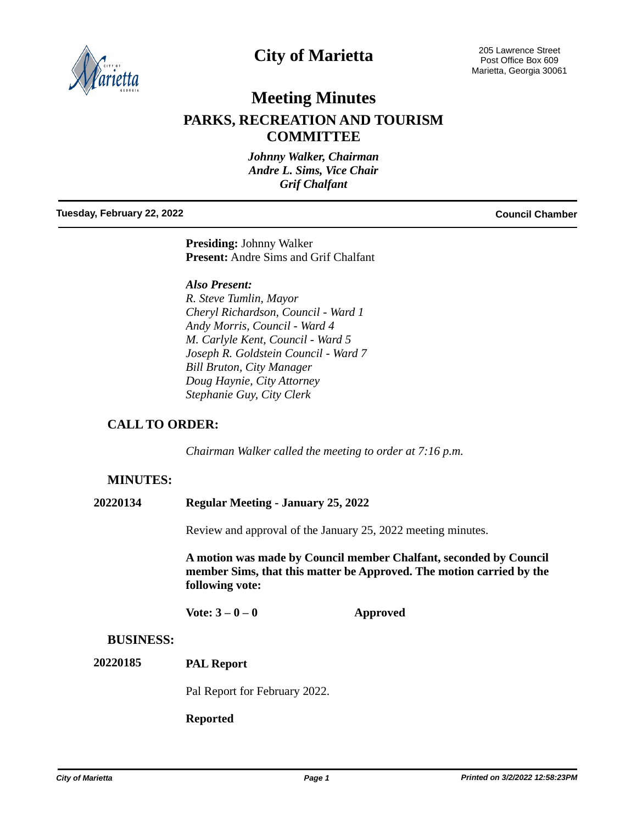

# **City of Marietta**

205 Lawrence Street Post Office Box 609 Marietta, Georgia 30061

# **Meeting Minutes**

## **PARKS, RECREATION AND TOURISM COMMITTEE**

*Johnny Walker, Chairman Andre L. Sims, Vice Chair Grif Chalfant*

#### **Tuesday, February 22, 2022 Council Chamber**

**Presiding:** Johnny Walker **Present:** Andre Sims and Grif Chalfant

#### *Also Present:*

*R. Steve Tumlin, Mayor Cheryl Richardson, Council - Ward 1 Andy Morris, Council - Ward 4 M. Carlyle Kent, Council - Ward 5 Joseph R. Goldstein Council - Ward 7 Bill Bruton, City Manager Doug Haynie, City Attorney Stephanie Guy, City Clerk*

## **CALL TO ORDER:**

*Chairman Walker called the meeting to order at 7:16 p.m.*

## **MINUTES:**

### **20220134 Regular Meeting - January 25, 2022**

Review and approval of the January 25, 2022 meeting minutes.

**A motion was made by Council member Chalfant, seconded by Council member Sims, that this matter be Approved. The motion carried by the following vote:**

**Vote: 3 – 0 – 0 Approved**

## **BUSINESS:**

**PAL Report 20220185**

Pal Report for February 2022.

### **Reported**